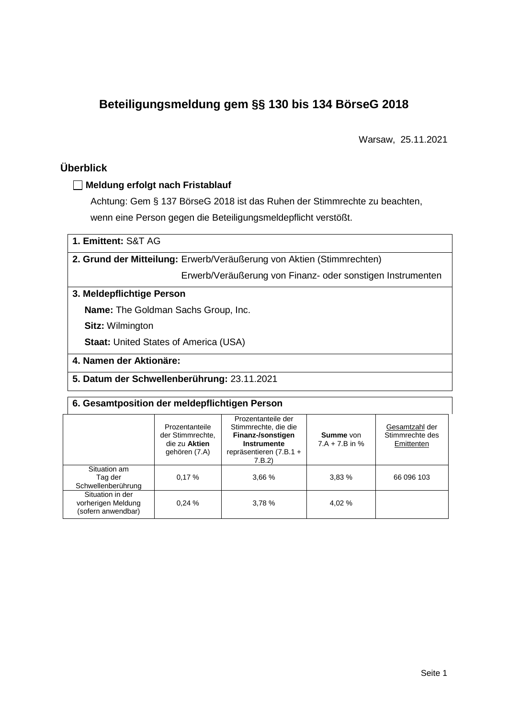# **Beteiligungsmeldung gem §§ 130 bis 134 BörseG 2018**

Warsaw, 25.11.2021

# **Überblick**

## **Meldung erfolgt nach Fristablauf**

Achtung: Gem § 137 BörseG 2018 ist das Ruhen der Stimmrechte zu beachten, wenn eine Person gegen die Beteiligungsmeldepflicht verstößt.

| 1. Emittent: S&T AG |  |
|---------------------|--|
|---------------------|--|

**2. Grund der Mitteilung:** Erwerb/Veräußerung von Aktien (Stimmrechten)

Erwerb/Veräußerung von Finanz- oder sonstigen Instrumenten

## **3. Meldepflichtige Person**

**Name:** The Goldman Sachs Group, Inc.

**Sitz:** Wilmington

**Staat: United States of America (USA)** 

## **4. Namen der Aktionäre:**

**5. Datum der Schwellenberührung:** 23.11.2021

## **6. Gesamtposition der meldepflichtigen Person**

|                                                              | Prozentanteile<br>der Stimmrechte.<br>die zu Aktien<br>gehören (7.A) | Prozentanteile der<br>Stimmrechte, die die<br>Finanz-/sonstigen<br><b>Instrumente</b><br>repräsentieren (7.B.1 +<br>7.B.2) | <b>Summe</b> von<br>$7.A + 7.B$ in % | Gesamtzahl der<br>Stimmrechte des<br>Emittenten |
|--------------------------------------------------------------|----------------------------------------------------------------------|----------------------------------------------------------------------------------------------------------------------------|--------------------------------------|-------------------------------------------------|
| Situation am<br>Tag der<br>Schwellenberührung                | 0.17%                                                                | 3,66 %                                                                                                                     | 3.83%                                | 66 096 103                                      |
| Situation in der<br>vorherigen Meldung<br>(sofern anwendbar) | 0.24%                                                                | 3.78%                                                                                                                      | 4,02 %                               |                                                 |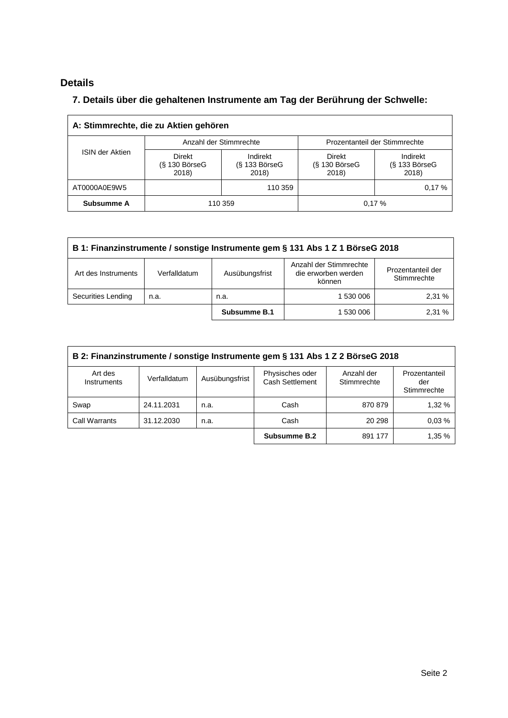# **Details**

## **7. Details über die gehaltenen Instrumente am Tag der Berührung der Schwelle:**

| A: Stimmrechte, die zu Aktien gehören |                                                         |                                      |                                           |                                      |  |  |
|---------------------------------------|---------------------------------------------------------|--------------------------------------|-------------------------------------------|--------------------------------------|--|--|
|                                       | Anzahl der Stimmrechte<br>Prozentanteil der Stimmrechte |                                      |                                           |                                      |  |  |
| <b>ISIN der Aktien</b>                | <b>Direkt</b><br>$(S$ 130 BörseG<br>2018)               | Indirekt<br>$(S$ 133 BörseG<br>2018) | <b>Direkt</b><br>$(S$ 130 BörseG<br>2018) | Indirekt<br>$(S$ 133 BörseG<br>2018) |  |  |
| AT0000A0E9W5                          |                                                         | 110 359                              |                                           | 0.17%                                |  |  |
| Subsumme A                            | 0.17%<br>110 359                                        |                                      |                                           |                                      |  |  |

| B 1: Finanzinstrumente / sonstige Instrumente gem § 131 Abs 1 Z 1 BörseG 2018 |                                                                                                                               |              |           |       |  |  |
|-------------------------------------------------------------------------------|-------------------------------------------------------------------------------------------------------------------------------|--------------|-----------|-------|--|--|
| Art des Instruments                                                           | Anzahl der Stimmrechte<br>Prozentanteil der<br>die erworben werden<br>Ausübungsfrist<br>Verfalldatum<br>Stimmrechte<br>können |              |           |       |  |  |
| Securities Lending                                                            | n.a.                                                                                                                          | n.a.         | 1 530 006 | 2.31% |  |  |
|                                                                               |                                                                                                                               | Subsumme B.1 | 1 530 006 | 2.31% |  |  |

| B 2: Finanzinstrumente / sonstige Instrumente gem § 131 Abs 1 Z 2 BörseG 2018                                                                                             |            |      |              |         |        |  |  |
|---------------------------------------------------------------------------------------------------------------------------------------------------------------------------|------------|------|--------------|---------|--------|--|--|
| Physisches oder<br>Anzahl der<br>Art des<br>Prozentanteil<br>Ausübungsfrist<br>Verfalldatum<br>Cash Settlement<br>Stimmrechte<br><b>Instruments</b><br>der<br>Stimmrechte |            |      |              |         |        |  |  |
| Swap                                                                                                                                                                      | 24.11.2031 | n.a. | Cash         | 870 879 | 1,32 % |  |  |
| Call Warrants                                                                                                                                                             | 31.12.2030 | n.a. | Cash         | 20 298  | 0.03%  |  |  |
|                                                                                                                                                                           |            |      | Subsumme B.2 | 891 177 | 1,35 % |  |  |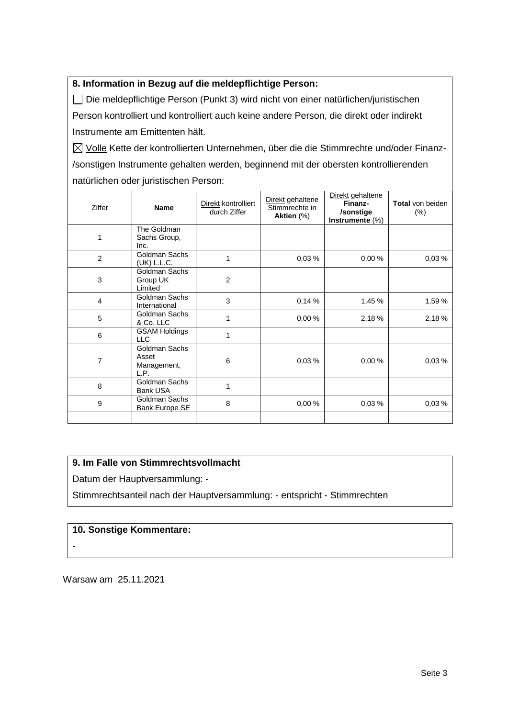## **8. Information in Bezug auf die meldepflichtige Person:**

Die meldepflichtige Person (Punkt 3) wird nicht von einer natürlichen/juristischen Person kontrolliert und kontrolliert auch keine andere Person, die direkt oder indirekt Instrumente am Emittenten hält.

 $\boxtimes$  Volle Kette der kontrollierten Unternehmen, über die die Stimmrechte und/oder Finanz-/sonstigen Instrumente gehalten werden, beginnend mit der obersten kontrollierenden natürlichen oder juristischen Person:

| <b>Ziffer</b>  | <b>Name</b>                                   | Direkt kontrolliert<br>durch Ziffer | Direkt gehaltene<br>Stimmrechte in<br>Aktien (%) | Direkt gehaltene<br>Finanz-<br>/sonstige<br>Instrumente (%) | <b>Total</b> von beiden<br>$(\%)$ |
|----------------|-----------------------------------------------|-------------------------------------|--------------------------------------------------|-------------------------------------------------------------|-----------------------------------|
| 1              | The Goldman<br>Sachs Group,<br>Inc.           |                                     |                                                  |                                                             |                                   |
| 2              | Goldman Sachs<br>(UK) L.L.C.                  | 1                                   | 0,03%                                            | 0,00%                                                       | 0,03%                             |
| 3              | Goldman Sachs<br>Group UK<br>Limited          | 2                                   |                                                  |                                                             |                                   |
| $\overline{4}$ | Goldman Sachs<br>International                | 3                                   | 0,14%                                            | 1,45 %                                                      | 1,59 %                            |
| 5              | Goldman Sachs<br>& Co. LLC                    | 1                                   | 0,00%                                            | 2,18 %                                                      | 2,18 %                            |
| 6              | <b>GSAM Holdings</b><br><b>LLC</b>            | 1                                   |                                                  |                                                             |                                   |
| 7              | Goldman Sachs<br>Asset<br>Management,<br>L.P. | 6                                   | 0,03%                                            | 0,00%                                                       | 0,03%                             |
| 8              | Goldman Sachs<br><b>Bank USA</b>              | 1                                   |                                                  |                                                             |                                   |
| 9              | Goldman Sachs<br>Bank Europe SE               | 8                                   | 0,00%                                            | 0,03%                                                       | 0,03%                             |
|                |                                               |                                     |                                                  |                                                             |                                   |

## **9. Im Falle von Stimmrechtsvollmacht**

Datum der Hauptversammlung: -

Stimmrechtsanteil nach der Hauptversammlung: - entspricht - Stimmrechten

## **10. Sonstige Kommentare:**

-

Warsaw am 25.11.2021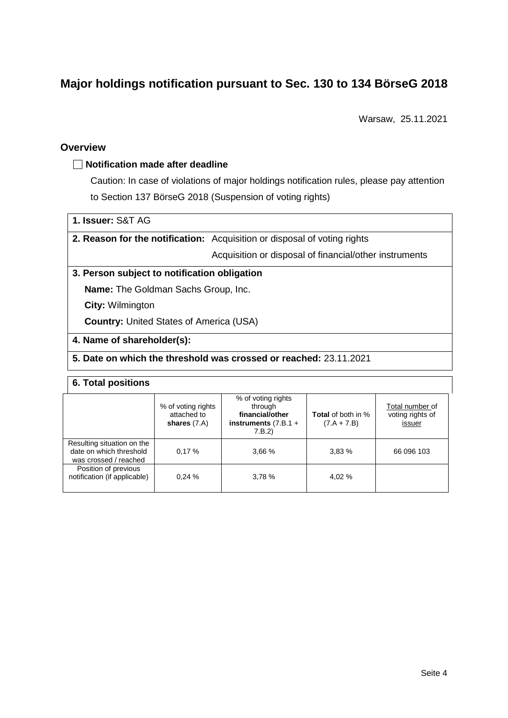# **Major holdings notification pursuant to Sec. 130 to 134 BörseG 2018**

Warsaw, 25.11.2021

## **Overview**

## **Notification made after deadline**

Caution: In case of violations of major holdings notification rules, please pay attention to Section 137 BörseG 2018 (Suspension of voting rights)

## **1. Issuer:** S&T AG

**2. Reason for the notification:** Acquisition or disposal of voting rights

Acquisition or disposal of financial/other instruments

#### **3. Person subject to notification obligation**

**Name:** The Goldman Sachs Group, Inc.

**City:** Wilmington

**Country:** United States of America (USA)

#### **4. Name of shareholder(s):**

#### **5. Date on which the threshold was crossed or reached:** 23.11.2021

#### **6. Total positions**

|                                                                                | % of voting rights<br>attached to<br>shares $(7.A)$ | % of voting rights<br>through<br>financial/other<br>instruments $(7.B.1 +$<br>7.B.2) | <b>Total</b> of both in %<br>$(7.A + 7.B)$ | Total number of<br>voting rights of<br>issuer |
|--------------------------------------------------------------------------------|-----------------------------------------------------|--------------------------------------------------------------------------------------|--------------------------------------------|-----------------------------------------------|
| Resulting situation on the<br>date on which threshold<br>was crossed / reached | 0.17%                                               | 3.66 %                                                                               | 3.83%                                      | 66 096 103                                    |
| Position of previous<br>notification (if applicable)                           | 0.24%                                               | 3,78 %                                                                               | 4.02 %                                     |                                               |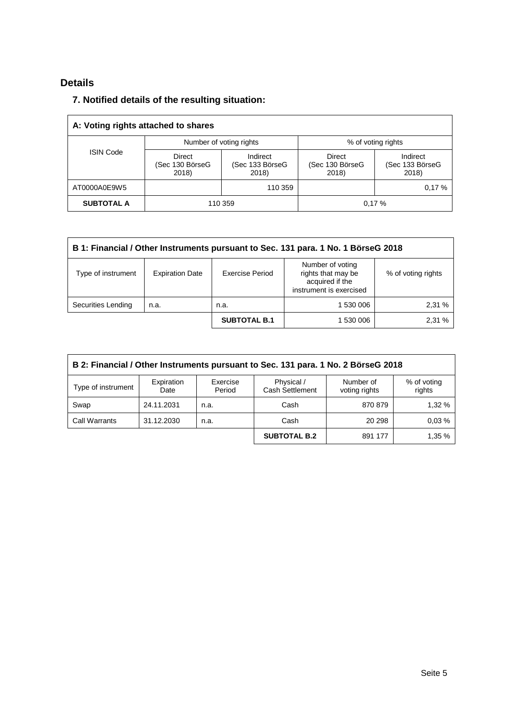# **Details**

## **7. Notified details of the resulting situation:**

| A: Voting rights attached to shares |                                    |                                      |                                    |                                      |  |  |
|-------------------------------------|------------------------------------|--------------------------------------|------------------------------------|--------------------------------------|--|--|
|                                     |                                    | Number of voting rights              | % of voting rights                 |                                      |  |  |
| <b>ISIN Code</b>                    | Direct<br>(Sec 130 BörseG<br>2018) | Indirect<br>(Sec 133 BörseG<br>2018) | Direct<br>(Sec 130 BörseG<br>2018) | Indirect<br>(Sec 133 BörseG<br>2018) |  |  |
| AT0000A0E9W5                        |                                    | 110 359                              |                                    | 0.17%                                |  |  |
| <b>SUBTOTAL A</b>                   | 110 359<br>0.17%                   |                                      |                                    |                                      |  |  |

| B 1: Financial / Other Instruments pursuant to Sec. 131 para. 1 No. 1 BörseG 2018 |                        |                     |                                                                                      |                    |  |
|-----------------------------------------------------------------------------------|------------------------|---------------------|--------------------------------------------------------------------------------------|--------------------|--|
| Type of instrument                                                                | <b>Expiration Date</b> | Exercise Period     | Number of voting<br>rights that may be<br>acquired if the<br>instrument is exercised | % of voting rights |  |
| Securities Lending                                                                | n.a.                   | n.a.                | 1 530 006                                                                            | 2,31 %             |  |
|                                                                                   |                        | <b>SUBTOTAL B.1</b> | 1 530 006                                                                            | 2.31 %             |  |

| B 2: Financial / Other Instruments pursuant to Sec. 131 para. 1 No. 2 BörseG 2018                                                                      |            |      |                     |         |        |  |  |
|--------------------------------------------------------------------------------------------------------------------------------------------------------|------------|------|---------------------|---------|--------|--|--|
| Physical /<br>Expiration<br>Exercise<br>Number of<br>% of voting<br>Type of instrument<br>Cash Settlement<br>rights<br>Period<br>voting rights<br>Date |            |      |                     |         |        |  |  |
| Swap                                                                                                                                                   | 24.11.2031 | n.a. | Cash                | 870 879 | 1,32 % |  |  |
| <b>Call Warrants</b>                                                                                                                                   | 31.12.2030 | n.a. | Cash                | 20 29 8 | 0.03%  |  |  |
|                                                                                                                                                        |            |      | <b>SUBTOTAL B.2</b> | 891 177 | 1,35 % |  |  |